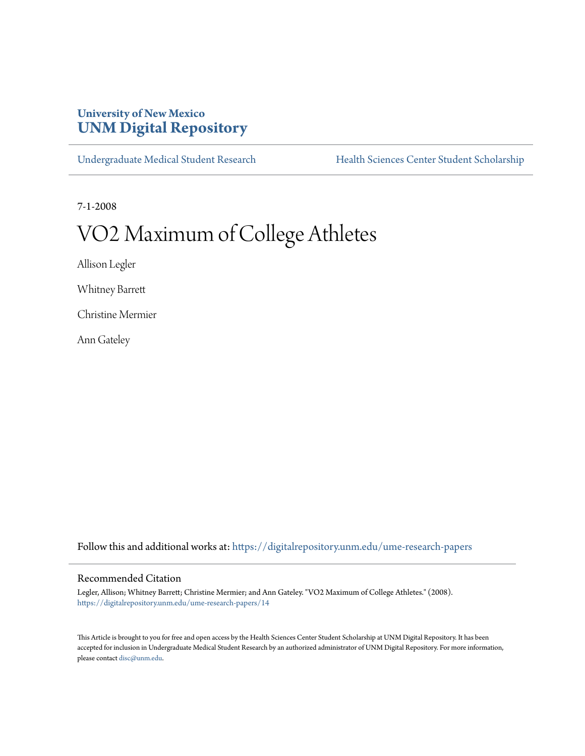# **University of New Mexico [UNM Digital Repository](https://digitalrepository.unm.edu?utm_source=digitalrepository.unm.edu%2Fume-research-papers%2F14&utm_medium=PDF&utm_campaign=PDFCoverPages)**

[Undergraduate Medical Student Research](https://digitalrepository.unm.edu/ume-research-papers?utm_source=digitalrepository.unm.edu%2Fume-research-papers%2F14&utm_medium=PDF&utm_campaign=PDFCoverPages) [Health Sciences Center Student Scholarship](https://digitalrepository.unm.edu/hsc-students?utm_source=digitalrepository.unm.edu%2Fume-research-papers%2F14&utm_medium=PDF&utm_campaign=PDFCoverPages)

7-1-2008

# VO2 Maximum of College Athletes

Allison Legler

Whitney Barrett

Christine Mermier

Ann Gateley

Follow this and additional works at: [https://digitalrepository.unm.edu/ume-research-papers](https://digitalrepository.unm.edu/ume-research-papers?utm_source=digitalrepository.unm.edu%2Fume-research-papers%2F14&utm_medium=PDF&utm_campaign=PDFCoverPages)

#### Recommended Citation

Legler, Allison; Whitney Barrett; Christine Mermier; and Ann Gateley. "VO2 Maximum of College Athletes." (2008). [https://digitalrepository.unm.edu/ume-research-papers/14](https://digitalrepository.unm.edu/ume-research-papers/14?utm_source=digitalrepository.unm.edu%2Fume-research-papers%2F14&utm_medium=PDF&utm_campaign=PDFCoverPages)

This Article is brought to you for free and open access by the Health Sciences Center Student Scholarship at UNM Digital Repository. It has been accepted for inclusion in Undergraduate Medical Student Research by an authorized administrator of UNM Digital Repository. For more information, please contact [disc@unm.edu.](mailto:disc@unm.edu)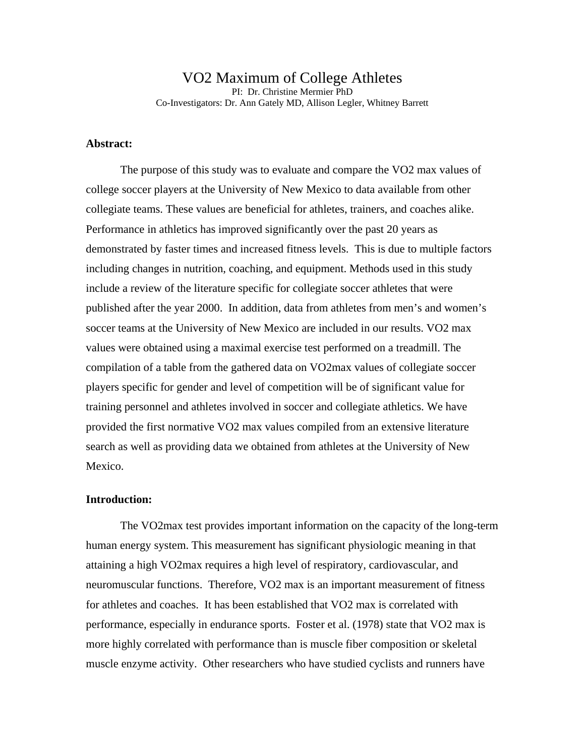VO2 Maximum of College Athletes PI: Dr. Christine Mermier PhD Co-Investigators: Dr. Ann Gately MD, Allison Legler, Whitney Barrett

## **Abstract:**

The purpose of this study was to evaluate and compare the VO2 max values of college soccer players at the University of New Mexico to data available from other collegiate teams. These values are beneficial for athletes, trainers, and coaches alike. Performance in athletics has improved significantly over the past 20 years as demonstrated by faster times and increased fitness levels. This is due to multiple factors including changes in nutrition, coaching, and equipment. Methods used in this study include a review of the literature specific for collegiate soccer athletes that were published after the year 2000. In addition, data from athletes from men's and women's soccer teams at the University of New Mexico are included in our results. VO2 max values were obtained using a maximal exercise test performed on a treadmill. The compilation of a table from the gathered data on VO2max values of collegiate soccer players specific for gender and level of competition will be of significant value for training personnel and athletes involved in soccer and collegiate athletics. We have provided the first normative VO2 max values compiled from an extensive literature search as well as providing data we obtained from athletes at the University of New Mexico.

#### **Introduction:**

The VO2max test provides important information on the capacity of the long-term human energy system. This measurement has significant physiologic meaning in that attaining a high VO2max requires a high level of respiratory, cardiovascular, and neuromuscular functions. Therefore, VO2 max is an important measurement of fitness for athletes and coaches. It has been established that VO2 max is correlated with performance, especially in endurance sports. Foster et al. (1978) state that VO2 max is more highly correlated with performance than is muscle fiber composition or skeletal muscle enzyme activity. Other researchers who have studied cyclists and runners have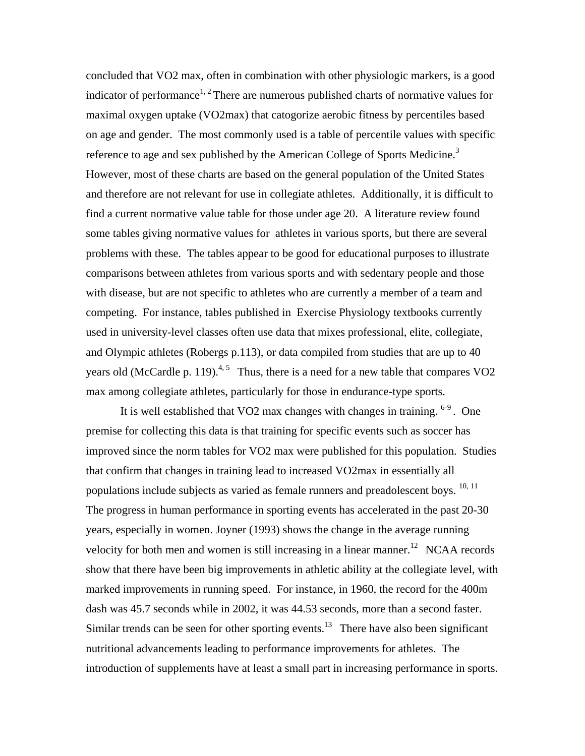concluded that VO2 max, often in combination with other physiologic markers, is a good indicator of performance<sup>1, 2</sup> There are numerous published charts of normative values for maximal oxygen uptake (VO2max) that catogorize aerobic fitness by percentiles based on age and gender. The most commonly used is a table of percentile values with specific reference to age and sex published by the American College of Sports Medicine.<sup>3</sup> However, most of these charts are based on the general population of the United States and therefore are not relevant for use in collegiate athletes. Additionally, it is difficult to find a current normative value table for those under age 20. A literature review found some tables giving normative values for athletes in various sports, but there are several problems with these. The tables appear to be good for educational purposes to illustrate comparisons between athletes from various sports and with sedentary people and those with disease, but are not specific to athletes who are currently a member of a team and competing. For instance, tables published in Exercise Physiology textbooks currently used in university-level classes often use data that mixes professional, elite, collegiate, and Olympic athletes (Robergs p.113), or data compiled from studies that are up to 40 years old (McCardle p. 119).<sup>4, 5</sup> Thus, there is a need for a new table that compares VO2 max among collegiate athletes, particularly for those in endurance-type sports.

It is well established that VO2 max changes with changes in training.  $6-9$ . One premise for collecting this data is that training for specific events such as soccer has improved since the norm tables for VO2 max were published for this population. Studies that confirm that changes in training lead to increased VO2max in essentially all populations include subjects as varied as female runners and preadolescent boys.  $10, 11$ The progress in human performance in sporting events has accelerated in the past 20-30 years, especially in women. Joyner (1993) shows the change in the average running velocity for both men and women is still increasing in a linear manner.<sup>12</sup> NCAA records show that there have been big improvements in athletic ability at the collegiate level, with marked improvements in running speed. For instance, in 1960, the record for the 400m dash was 45.7 seconds while in 2002, it was 44.53 seconds, more than a second faster. Similar trends can be seen for other sporting events.<sup>13</sup> There have also been significant nutritional advancements leading to performance improvements for athletes. The introduction of supplements have at least a small part in increasing performance in sports.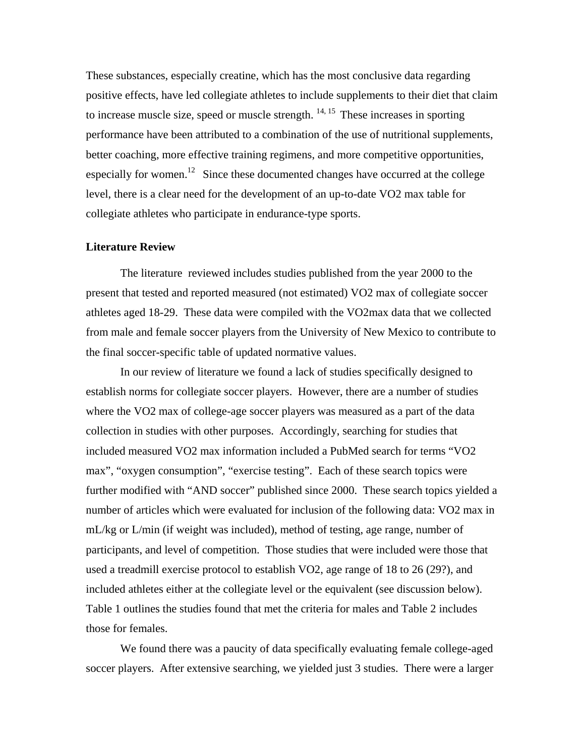These substances, especially creatine, which has the most conclusive data regarding positive effects, have led collegiate athletes to include supplements to their diet that claim to increase muscle size, speed or muscle strength.  $14, 15$  These increases in sporting performance have been attributed to a combination of the use of nutritional supplements, better coaching, more effective training regimens, and more competitive opportunities, especially for women.<sup>12</sup> Since these documented changes have occurred at the college level, there is a clear need for the development of an up-to-date VO2 max table for collegiate athletes who participate in endurance-type sports.

#### **Literature Review**

 The literature reviewed includes studies published from the year 2000 to the present that tested and reported measured (not estimated) VO2 max of collegiate soccer athletes aged 18-29. These data were compiled with the VO2max data that we collected from male and female soccer players from the University of New Mexico to contribute to the final soccer-specific table of updated normative values.

In our review of literature we found a lack of studies specifically designed to establish norms for collegiate soccer players. However, there are a number of studies where the VO2 max of college-age soccer players was measured as a part of the data collection in studies with other purposes. Accordingly, searching for studies that included measured VO2 max information included a PubMed search for terms "VO2 max", "oxygen consumption", "exercise testing". Each of these search topics were further modified with "AND soccer" published since 2000. These search topics yielded a number of articles which were evaluated for inclusion of the following data: VO2 max in mL/kg or L/min (if weight was included), method of testing, age range, number of participants, and level of competition. Those studies that were included were those that used a treadmill exercise protocol to establish VO2, age range of 18 to 26 (29?), and included athletes either at the collegiate level or the equivalent (see discussion below). Table 1 outlines the studies found that met the criteria for males and Table 2 includes those for females.

We found there was a paucity of data specifically evaluating female college-aged soccer players. After extensive searching, we yielded just 3 studies. There were a larger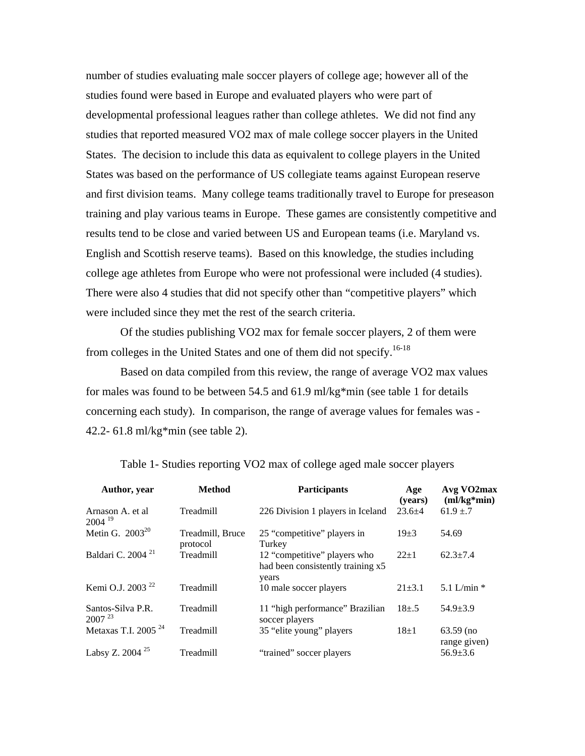number of studies evaluating male soccer players of college age; however all of the studies found were based in Europe and evaluated players who were part of developmental professional leagues rather than college athletes. We did not find any studies that reported measured VO2 max of male college soccer players in the United States. The decision to include this data as equivalent to college players in the United States was based on the performance of US collegiate teams against European reserve and first division teams. Many college teams traditionally travel to Europe for preseason training and play various teams in Europe. These games are consistently competitive and results tend to be close and varied between US and European teams (i.e. Maryland vs. English and Scottish reserve teams). Based on this knowledge, the studies including college age athletes from Europe who were not professional were included (4 studies). There were also 4 studies that did not specify other than "competitive players" which were included since they met the rest of the search criteria.

Of the studies publishing VO2 max for female soccer players, 2 of them were from colleges in the United States and one of them did not specify.<sup>16-18</sup>

Based on data compiled from this review, the range of average VO2 max values for males was found to be between 54.5 and 61.9 ml/kg\*min (see table 1 for details concerning each study). In comparison, the range of average values for females was - 42.2- 61.8 ml/kg\*min (see table 2).

| Author, year                     | <b>Method</b>                | <b>Participants</b>                                                        | Age<br>(vears) | $Avg\ VO2max$<br>$(ml/kg*min)$ |
|----------------------------------|------------------------------|----------------------------------------------------------------------------|----------------|--------------------------------|
| Arnason A. et al<br>$2004^{19}$  | Treadmill                    | 226 Division 1 players in Iceland                                          | $23.6 + 4$     | $61.9 \pm .7$                  |
| Metin G. $2003^{20}$             | Treadmill, Bruce<br>protocol | 25 "competitive" players in<br>Turkey                                      | $19\pm3$       | 54.69                          |
| Baldari C. 2004 <sup>21</sup>    | Treadmill                    | 12 "competitive" players who<br>had been consistently training x5<br>years | $22+1$         | $62.3 \pm 7.4$                 |
| Kemi O.J. 2003 <sup>22</sup>     | Treadmill                    | 10 male soccer players                                                     | $21 \pm 3.1$   | 5.1 L/min $*$                  |
| Santos-Silva P.R.<br>$2007^{23}$ | Treadmill                    | 11 "high performance" Brazilian<br>soccer players                          | $18+0.5$       | $54.9 \pm 3.9$                 |
| Metaxas T.I. 2005 <sup>24</sup>  | Treadmill                    | 35 "elite young" players                                                   | $18+1$         | $63.59$ (no<br>range given)    |
| Labsy Z. 2004 <sup>25</sup>      | Treadmill                    | "trained" soccer players                                                   |                | $56.9 \pm 3.6$                 |

Table 1- Studies reporting VO2 max of college aged male soccer players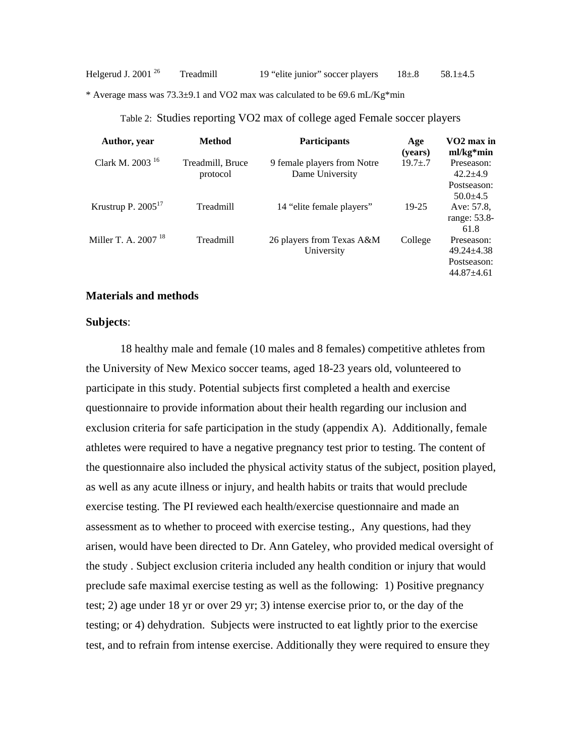\* Average mass was 73.3±9.1 and VO2 max was calculated to be 69.6 mL/Kg\*min

| Author, year                    | <b>Method</b>                | <b>Participants</b>                            | Age<br>(years) | VO <sub>2</sub> max in<br>$ml/kg*min$                         |
|---------------------------------|------------------------------|------------------------------------------------|----------------|---------------------------------------------------------------|
| Clark M. 2003 <sup>16</sup>     | Treadmill, Bruce<br>protocol | 9 female players from Notre<br>Dame University | $19.7 \pm .7$  | Preseason:<br>$42.2 + 4.9$                                    |
|                                 |                              |                                                |                | Postseason:<br>$50.0 \pm 4.5$                                 |
| Krustrup P. $2005^{17}$         | Treadmill                    | 14 "elite female players"                      | 19-25          | Ave: 57.8.<br>range: 53.8-<br>61.8                            |
| Miller T. A. 2007 <sup>18</sup> | Treadmill                    | 26 players from Texas A&M<br>University        | College        | Preseason:<br>$49.24 + 4.38$<br>Postseason:<br>$44.87 + 4.61$ |

Table 2: Studies reporting VO2 max of college aged Female soccer players

#### **Materials and methods**

#### **Subjects**:

18 healthy male and female (10 males and 8 females) competitive athletes from the University of New Mexico soccer teams, aged 18-23 years old, volunteered to participate in this study. Potential subjects first completed a health and exercise questionnaire to provide information about their health regarding our inclusion and exclusion criteria for safe participation in the study (appendix A). Additionally, female athletes were required to have a negative pregnancy test prior to testing. The content of the questionnaire also included the physical activity status of the subject, position played, as well as any acute illness or injury, and health habits or traits that would preclude exercise testing. The PI reviewed each health/exercise questionnaire and made an assessment as to whether to proceed with exercise testing., Any questions, had they arisen, would have been directed to Dr. Ann Gateley, who provided medical oversight of the study . Subject exclusion criteria included any health condition or injury that would preclude safe maximal exercise testing as well as the following: 1) Positive pregnancy test; 2) age under 18 yr or over 29 yr; 3) intense exercise prior to, or the day of the testing; or 4) dehydration. Subjects were instructed to eat lightly prior to the exercise test, and to refrain from intense exercise. Additionally they were required to ensure they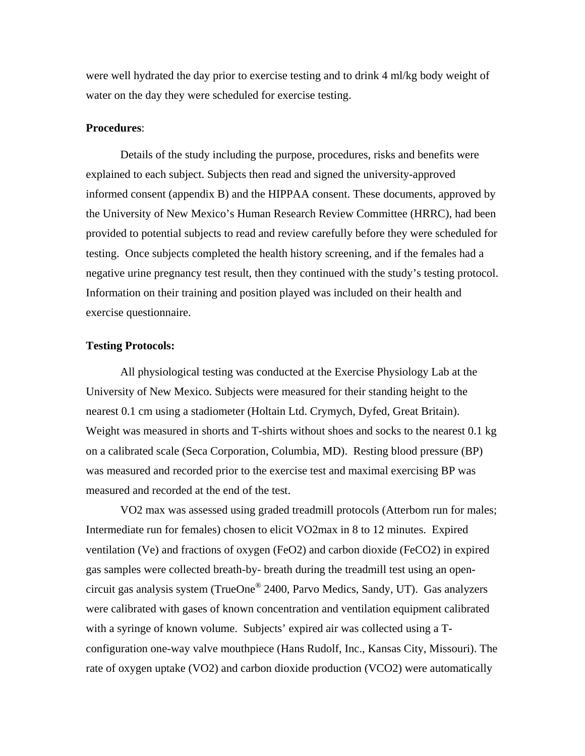were well hydrated the day prior to exercise testing and to drink 4 ml/kg body weight of water on the day they were scheduled for exercise testing.

#### **Procedures**:

Details of the study including the purpose, procedures, risks and benefits were explained to each subject. Subjects then read and signed the university-approved informed consent (appendix B) and the HIPPAA consent. These documents, approved by the University of New Mexico's Human Research Review Committee (HRRC), had been provided to potential subjects to read and review carefully before they were scheduled for testing. Once subjects completed the health history screening, and if the females had a negative urine pregnancy test result, then they continued with the study's testing protocol. Information on their training and position played was included on their health and exercise questionnaire.

## **Testing Protocols:**

All physiological testing was conducted at the Exercise Physiology Lab at the University of New Mexico. Subjects were measured for their standing height to the nearest 0.1 cm using a stadiometer (Holtain Ltd. Crymych, Dyfed, Great Britain). Weight was measured in shorts and T-shirts without shoes and socks to the nearest 0.1 kg on a calibrated scale (Seca Corporation, Columbia, MD). Resting blood pressure (BP) was measured and recorded prior to the exercise test and maximal exercising BP was measured and recorded at the end of the test.

VO2 max was assessed using graded treadmill protocols (Atterbom run for males; Intermediate run for females) chosen to elicit VO2max in 8 to 12 minutes. Expired ventilation (Ve) and fractions of oxygen (FeO2) and carbon dioxide (FeCO2) in expired gas samples were collected breath-by- breath during the treadmill test using an opencircuit gas analysis system (TrueOne® 2400, Parvo Medics, Sandy, UT). Gas analyzers were calibrated with gases of known concentration and ventilation equipment calibrated with a syringe of known volume. Subjects' expired air was collected using a Tconfiguration one-way valve mouthpiece (Hans Rudolf, Inc., Kansas City, Missouri). The rate of oxygen uptake (VO2) and carbon dioxide production (VCO2) were automatically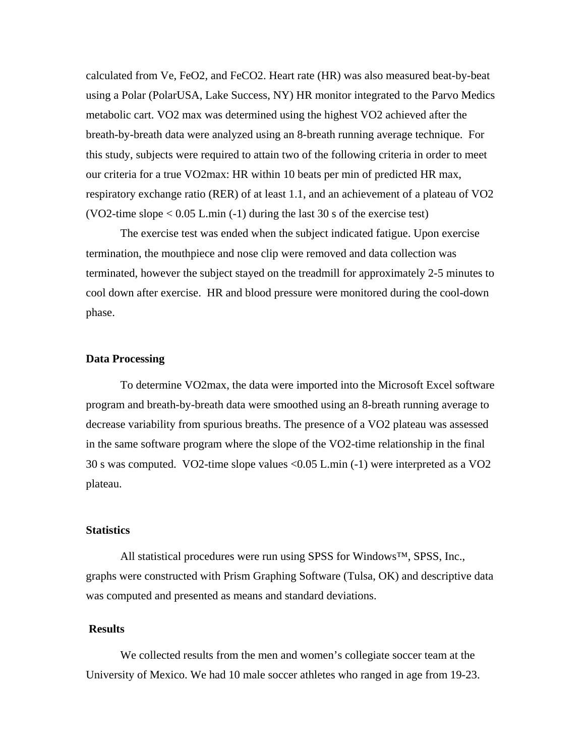calculated from Ve, FeO2, and FeCO2. Heart rate (HR) was also measured beat-by-beat using a Polar (PolarUSA, Lake Success, NY) HR monitor integrated to the Parvo Medics metabolic cart. VO2 max was determined using the highest VO2 achieved after the breath-by-breath data were analyzed using an 8-breath running average technique. For this study, subjects were required to attain two of the following criteria in order to meet our criteria for a true VO2max: HR within 10 beats per min of predicted HR max, respiratory exchange ratio (RER) of at least 1.1, and an achievement of a plateau of VO2 (VO2-time slope  $< 0.05$  L.min (-1) during the last 30 s of the exercise test)

The exercise test was ended when the subject indicated fatigue. Upon exercise termination, the mouthpiece and nose clip were removed and data collection was terminated, however the subject stayed on the treadmill for approximately 2-5 minutes to cool down after exercise. HR and blood pressure were monitored during the cool-down phase.

#### **Data Processing**

To determine VO2max, the data were imported into the Microsoft Excel software program and breath-by-breath data were smoothed using an 8-breath running average to decrease variability from spurious breaths. The presence of a VO2 plateau was assessed in the same software program where the slope of the VO2-time relationship in the final 30 s was computed. VO2-time slope values <0.05 L.min (-1) were interpreted as a VO2 plateau.

# **Statistics**

All statistical procedures were run using SPSS for Windows™, SPSS, Inc., graphs were constructed with Prism Graphing Software (Tulsa, OK) and descriptive data was computed and presented as means and standard deviations.

#### **Results**

We collected results from the men and women's collegiate soccer team at the University of Mexico. We had 10 male soccer athletes who ranged in age from 19-23.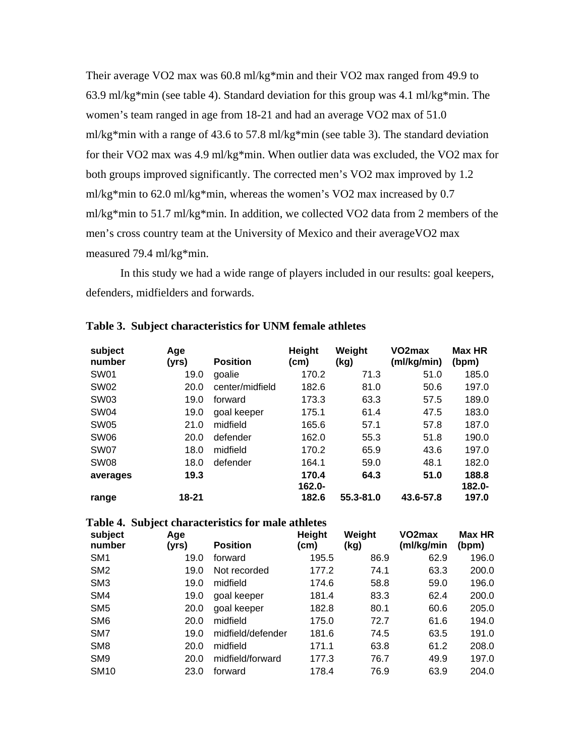Their average VO2 max was 60.8 ml/kg\*min and their VO2 max ranged from 49.9 to 63.9 ml/kg\*min (see table 4). Standard deviation for this group was 4.1 ml/kg\*min. The women's team ranged in age from 18-21 and had an average VO2 max of 51.0 ml/kg\*min with a range of 43.6 to 57.8 ml/kg\*min (see table 3). The standard deviation for their VO2 max was 4.9 ml/kg\*min. When outlier data was excluded, the VO2 max for both groups improved significantly. The corrected men's VO2 max improved by 1.2 ml/kg\*min to 62.0 ml/kg\*min, whereas the women's VO2 max increased by 0.7 ml/kg\*min to 51.7 ml/kg\*min. In addition, we collected VO2 data from 2 members of the men's cross country team at the University of Mexico and their averageVO2 max measured 79.4 ml/kg\*min.

In this study we had a wide range of players included in our results: goal keepers, defenders, midfielders and forwards.

| subject<br>number | Age<br>(yrs) | <b>Position</b> | <b>Height</b><br>(cm) | Weight<br>(kg) | VO <sub>2</sub> max<br>(ml/kg/min) | <b>Max HR</b><br>(bpm) |
|-------------------|--------------|-----------------|-----------------------|----------------|------------------------------------|------------------------|
| SW01              | 19.0         | goalie          | 170.2                 | 71.3           | 51.0                               | 185.0                  |
| SW <sub>02</sub>  | 20.0         | center/midfield | 182.6                 | 81.0           | 50.6                               | 197.0                  |
| <b>SW03</b>       | 19.0         | forward         | 173.3                 | 63.3           | 57.5                               | 189.0                  |
| <b>SW04</b>       | 19.0         | goal keeper     | 175.1                 | 61.4           | 47.5                               | 183.0                  |
| <b>SW05</b>       | 21.0         | midfield        | 165.6                 | 57.1           | 57.8                               | 187.0                  |
| <b>SW06</b>       | 20.0         | defender        | 162.0                 | 55.3           | 51.8                               | 190.0                  |
| SW07              | 18.0         | midfield        | 170.2                 | 65.9           | 43.6                               | 197.0                  |
| SW <sub>08</sub>  | 18.0         | defender        | 164.1                 | 59.0           | 48.1                               | 182.0                  |
| averages          | 19.3         |                 | 170.4<br>$162.0 -$    | 64.3           | 51.0                               | 188.8<br>$182.0 -$     |
| range             | 18-21        |                 | 182.6                 | 55.3-81.0      | 43.6-57.8                          | 197.0                  |

#### **Table 3. Subject characteristics for UNM female athletes**

| Table 4. Subject characteristics for male athletes |  |
|----------------------------------------------------|--|
|----------------------------------------------------|--|

| subject<br>number | Age<br>(yrs) | <b>Position</b>   | <b>Height</b><br>(cm) | Weight<br>(kg) | VO2max<br>(ml/kg/min | Max HR<br>(bpm) |
|-------------------|--------------|-------------------|-----------------------|----------------|----------------------|-----------------|
| SM <sub>1</sub>   | 19.0         | forward           | 195.5                 | 86.9           | 62.9                 | 196.0           |
| SM <sub>2</sub>   | 19.0         | Not recorded      | 177.2                 | 74.1           | 63.3                 | 200.0           |
| SM <sub>3</sub>   | 19.0         | midfield          | 174.6                 | 58.8           | 59.0                 | 196.0           |
| SM4               | 19.0         | goal keeper       | 181.4                 | 83.3           | 62.4                 | 200.0           |
| SM <sub>5</sub>   | 20.0         | goal keeper       | 182.8                 | 80.1           | 60.6                 | 205.0           |
| SM <sub>6</sub>   | 20.0         | midfield          | 175.0                 | 72.7           | 61.6                 | 194.0           |
| SM7               | 19.0         | midfield/defender | 181.6                 | 74.5           | 63.5                 | 191.0           |
| SM <sub>8</sub>   | 20.0         | midfield          | 171.1                 | 63.8           | 61.2                 | 208.0           |
| SM <sub>9</sub>   | 20.0         | midfield/forward  | 177.3                 | 76.7           | 49.9                 | 197.0           |
| <b>SM10</b>       | 23.0         | forward           | 178.4                 | 76.9           | 63.9                 | 204.0           |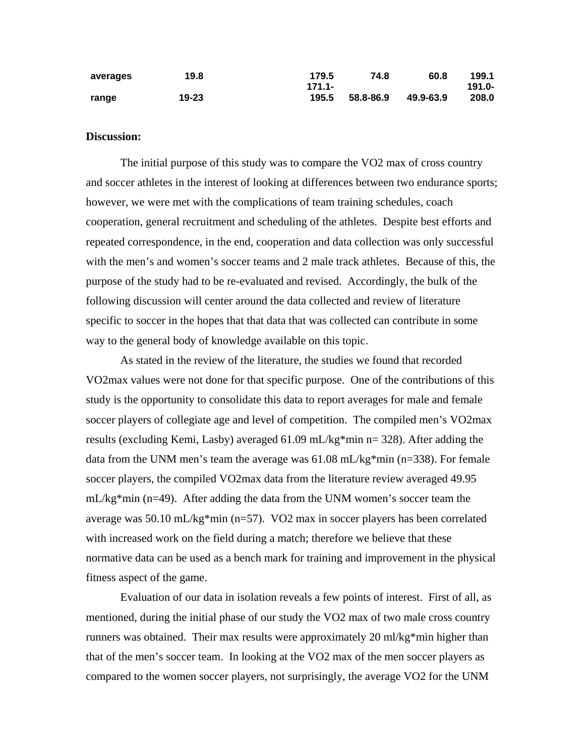| averages | 19.8  | 179.5    | 74.8      | 60.8      | 199.1     |
|----------|-------|----------|-----------|-----------|-----------|
|          |       | $171.1-$ |           |           | $191.0 -$ |
| range    | 19-23 | 195.5    | 58.8-86.9 | 49.9-63.9 | 208.0     |

## **Discussion:**

The initial purpose of this study was to compare the VO2 max of cross country and soccer athletes in the interest of looking at differences between two endurance sports; however, we were met with the complications of team training schedules, coach cooperation, general recruitment and scheduling of the athletes. Despite best efforts and repeated correspondence, in the end, cooperation and data collection was only successful with the men's and women's soccer teams and 2 male track athletes. Because of this, the purpose of the study had to be re-evaluated and revised. Accordingly, the bulk of the following discussion will center around the data collected and review of literature specific to soccer in the hopes that that data that was collected can contribute in some way to the general body of knowledge available on this topic.

 As stated in the review of the literature, the studies we found that recorded VO2max values were not done for that specific purpose. One of the contributions of this study is the opportunity to consolidate this data to report averages for male and female soccer players of collegiate age and level of competition. The compiled men's VO2max results (excluding Kemi, Lasby) averaged 61.09 mL/kg\*min n= 328). After adding the data from the UNM men's team the average was 61.08 mL/kg\*min (n=338). For female soccer players, the compiled VO2max data from the literature review averaged 49.95 mL/kg\*min (n=49). After adding the data from the UNM women's soccer team the average was 50.10 mL/kg\*min (n=57). VO2 max in soccer players has been correlated with increased work on the field during a match; therefore we believe that these normative data can be used as a bench mark for training and improvement in the physical fitness aspect of the game.

Evaluation of our data in isolation reveals a few points of interest. First of all, as mentioned, during the initial phase of our study the VO2 max of two male cross country runners was obtained. Their max results were approximately 20 ml/kg\*min higher than that of the men's soccer team. In looking at the VO2 max of the men soccer players as compared to the women soccer players, not surprisingly, the average VO2 for the UNM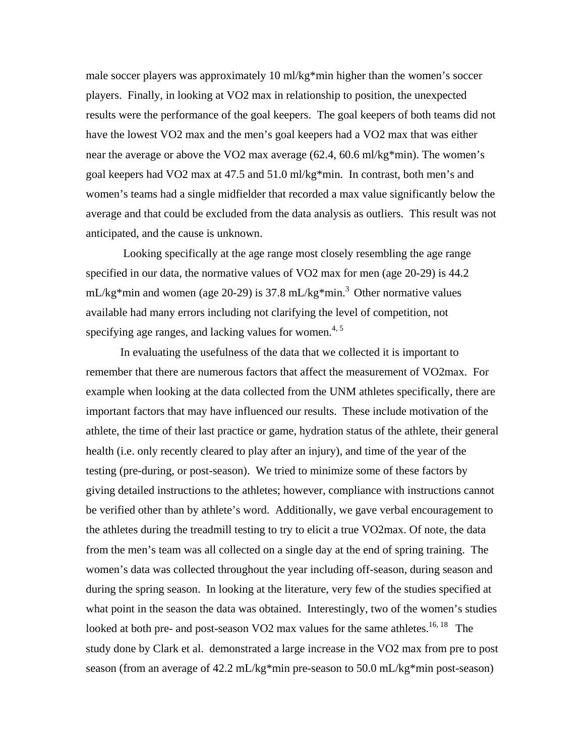male soccer players was approximately 10 ml/kg\*min higher than the women's soccer players. Finally, in looking at VO2 max in relationship to position, the unexpected results were the performance of the goal keepers. The goal keepers of both teams did not have the lowest VO2 max and the men's goal keepers had a VO2 max that was either near the average or above the VO2 max average (62.4, 60.6 ml/kg\*min). The women's goal keepers had VO2 max at 47.5 and 51.0 ml/kg\*min. In contrast, both men's and women's teams had a single midfielder that recorded a max value significantly below the average and that could be excluded from the data analysis as outliers. This result was not anticipated, and the cause is unknown.

 Looking specifically at the age range most closely resembling the age range specified in our data, the normative values of VO2 max for men (age 20-29) is 44.2 mL/kg\*min and women (age 20-29) is 37.8 mL/kg\*min.<sup>3</sup> Other normative values available had many errors including not clarifying the level of competition, not specifying age ranges, and lacking values for women. $4, 5$ 

In evaluating the usefulness of the data that we collected it is important to remember that there are numerous factors that affect the measurement of VO2max. For example when looking at the data collected from the UNM athletes specifically, there are important factors that may have influenced our results. These include motivation of the athlete, the time of their last practice or game, hydration status of the athlete, their general health (i.e. only recently cleared to play after an injury), and time of the year of the testing (pre-during, or post-season). We tried to minimize some of these factors by giving detailed instructions to the athletes; however, compliance with instructions cannot be verified other than by athlete's word. Additionally, we gave verbal encouragement to the athletes during the treadmill testing to try to elicit a true VO2max. Of note, the data from the men's team was all collected on a single day at the end of spring training. The women's data was collected throughout the year including off-season, during season and during the spring season. In looking at the literature, very few of the studies specified at what point in the season the data was obtained. Interestingly, two of the women's studies looked at both pre- and post-season VO2 max values for the same athletes.<sup>16, 18</sup> The study done by Clark et al. demonstrated a large increase in the VO2 max from pre to post season (from an average of 42.2 mL/kg\*min pre-season to 50.0 mL/kg\*min post-season)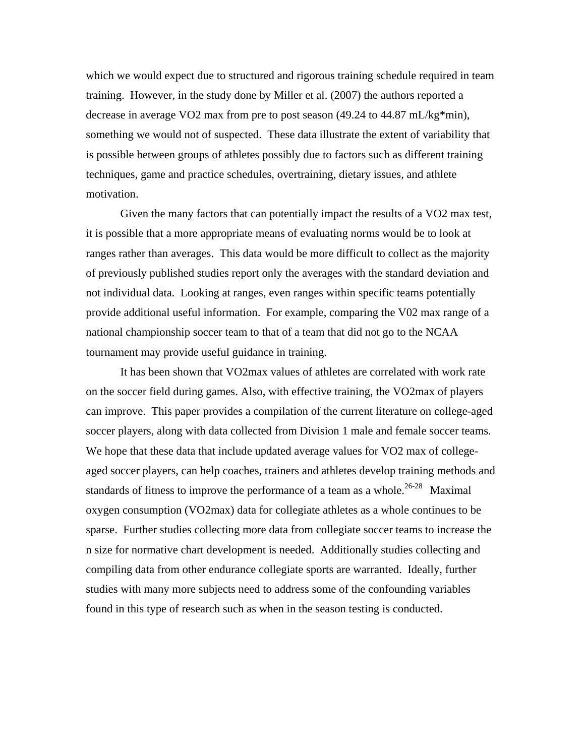which we would expect due to structured and rigorous training schedule required in team training. However, in the study done by Miller et al. (2007) the authors reported a decrease in average VO2 max from pre to post season (49.24 to 44.87 mL/kg\*min), something we would not of suspected. These data illustrate the extent of variability that is possible between groups of athletes possibly due to factors such as different training techniques, game and practice schedules, overtraining, dietary issues, and athlete motivation.

Given the many factors that can potentially impact the results of a VO2 max test, it is possible that a more appropriate means of evaluating norms would be to look at ranges rather than averages. This data would be more difficult to collect as the majority of previously published studies report only the averages with the standard deviation and not individual data. Looking at ranges, even ranges within specific teams potentially provide additional useful information. For example, comparing the V02 max range of a national championship soccer team to that of a team that did not go to the NCAA tournament may provide useful guidance in training.

 It has been shown that VO2max values of athletes are correlated with work rate on the soccer field during games. Also, with effective training, the VO2max of players can improve. This paper provides a compilation of the current literature on college-aged soccer players, along with data collected from Division 1 male and female soccer teams. We hope that these data that include updated average values for VO2 max of collegeaged soccer players, can help coaches, trainers and athletes develop training methods and standards of fitness to improve the performance of a team as a whole.<sup>26-28</sup> Maximal oxygen consumption (VO2max) data for collegiate athletes as a whole continues to be sparse. Further studies collecting more data from collegiate soccer teams to increase the n size for normative chart development is needed. Additionally studies collecting and compiling data from other endurance collegiate sports are warranted. Ideally, further studies with many more subjects need to address some of the confounding variables found in this type of research such as when in the season testing is conducted.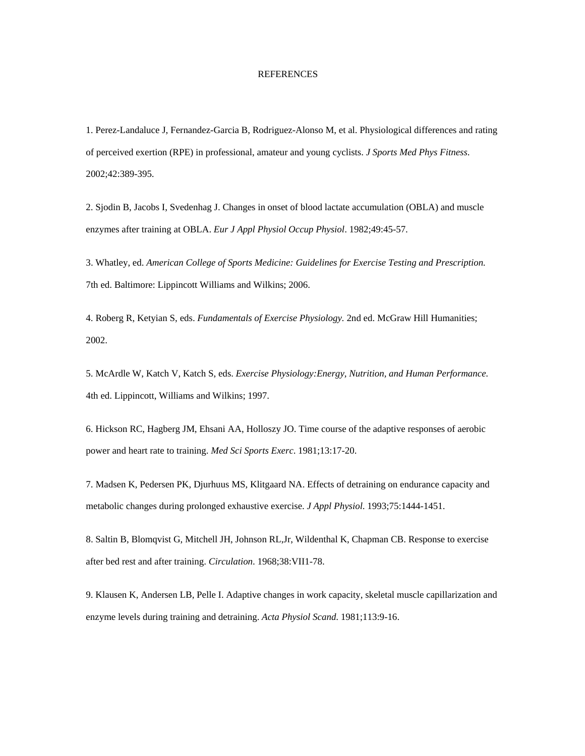#### REFERENCES

1. Perez-Landaluce J, Fernandez-Garcia B, Rodriguez-Alonso M, et al. Physiological differences and rating of perceived exertion (RPE) in professional, amateur and young cyclists. *J Sports Med Phys Fitness*. 2002;42:389-395.

2. Sjodin B, Jacobs I, Svedenhag J. Changes in onset of blood lactate accumulation (OBLA) and muscle enzymes after training at OBLA. *Eur J Appl Physiol Occup Physiol*. 1982;49:45-57.

3. Whatley, ed. *American College of Sports Medicine: Guidelines for Exercise Testing and Prescription.*  7th ed. Baltimore: Lippincott Williams and Wilkins; 2006.

4. Roberg R, Ketyian S, eds. *Fundamentals of Exercise Physiology.* 2nd ed. McGraw Hill Humanities; 2002.

5. McArdle W, Katch V, Katch S, eds. *Exercise Physiology:Energy, Nutrition, and Human Performance.*  4th ed. Lippincott, Williams and Wilkins; 1997.

6. Hickson RC, Hagberg JM, Ehsani AA, Holloszy JO. Time course of the adaptive responses of aerobic power and heart rate to training. *Med Sci Sports Exerc*. 1981;13:17-20.

7. Madsen K, Pedersen PK, Djurhuus MS, Klitgaard NA. Effects of detraining on endurance capacity and metabolic changes during prolonged exhaustive exercise. *J Appl Physiol*. 1993;75:1444-1451.

8. Saltin B, Blomqvist G, Mitchell JH, Johnson RL,Jr, Wildenthal K, Chapman CB. Response to exercise after bed rest and after training. *Circulation*. 1968;38:VII1-78.

9. Klausen K, Andersen LB, Pelle I. Adaptive changes in work capacity, skeletal muscle capillarization and enzyme levels during training and detraining. *Acta Physiol Scand*. 1981;113:9-16.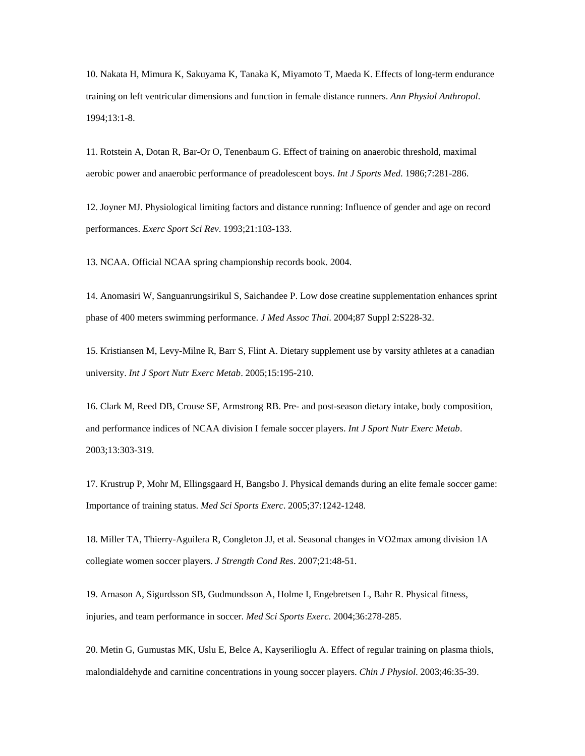10. Nakata H, Mimura K, Sakuyama K, Tanaka K, Miyamoto T, Maeda K. Effects of long-term endurance training on left ventricular dimensions and function in female distance runners. *Ann Physiol Anthropol*. 1994;13:1-8.

11. Rotstein A, Dotan R, Bar-Or O, Tenenbaum G. Effect of training on anaerobic threshold, maximal aerobic power and anaerobic performance of preadolescent boys. *Int J Sports Med*. 1986;7:281-286.

12. Joyner MJ. Physiological limiting factors and distance running: Influence of gender and age on record performances. *Exerc Sport Sci Rev*. 1993;21:103-133.

13. NCAA. Official NCAA spring championship records book. 2004.

14. Anomasiri W, Sanguanrungsirikul S, Saichandee P. Low dose creatine supplementation enhances sprint phase of 400 meters swimming performance. *J Med Assoc Thai*. 2004;87 Suppl 2:S228-32.

15. Kristiansen M, Levy-Milne R, Barr S, Flint A. Dietary supplement use by varsity athletes at a canadian university. *Int J Sport Nutr Exerc Metab*. 2005;15:195-210.

16. Clark M, Reed DB, Crouse SF, Armstrong RB. Pre- and post-season dietary intake, body composition, and performance indices of NCAA division I female soccer players. *Int J Sport Nutr Exerc Metab*. 2003;13:303-319.

17. Krustrup P, Mohr M, Ellingsgaard H, Bangsbo J. Physical demands during an elite female soccer game: Importance of training status. *Med Sci Sports Exerc*. 2005;37:1242-1248.

18. Miller TA, Thierry-Aguilera R, Congleton JJ, et al. Seasonal changes in VO2max among division 1A collegiate women soccer players. *J Strength Cond Res*. 2007;21:48-51.

19. Arnason A, Sigurdsson SB, Gudmundsson A, Holme I, Engebretsen L, Bahr R. Physical fitness, injuries, and team performance in soccer. *Med Sci Sports Exerc*. 2004;36:278-285.

20. Metin G, Gumustas MK, Uslu E, Belce A, Kayserilioglu A. Effect of regular training on plasma thiols, malondialdehyde and carnitine concentrations in young soccer players. *Chin J Physiol*. 2003;46:35-39.